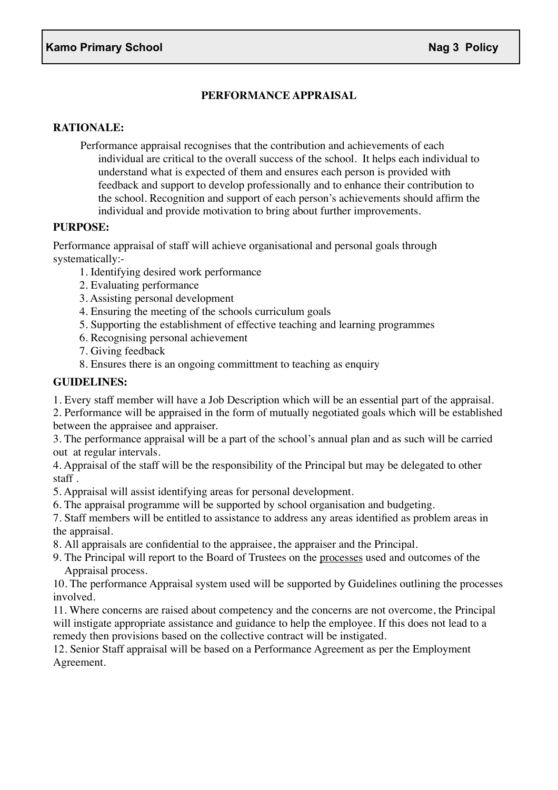# **PERFORMANCE APPRAISAL**

## **RATIONALE:**

Performance appraisal recognises that the contribution and achievements of each individual are critical to the overall success of the school. It helps each individual to understand what is expected of them and ensures each person is provided with feedback and support to develop professionally and to enhance their contribution to the school. Recognition and support of each person's achievements should affirm the individual and provide motivation to bring about further improvements.

#### **PURPOSE:**

Performance appraisal of staff will achieve organisational and personal goals through systematically:-

- 1. Identifying desired work performance
- 2. Evaluating performance
- 3. Assisting personal development
- 4. Ensuring the meeting of the schools curriculum goals
- 5. Supporting the establishment of effective teaching and learning programmes
- 6. Recognising personal achievement
- 7. Giving feedback
- 8. Ensures there is an ongoing committment to teaching as enquiry

### **GUIDELINES:**

1. Every staff member will have a Job Description which will be an essential part of the appraisal.

2. Performance will be appraised in the form of mutually negotiated goals which will be established between the appraisee and appraiser.

3. The performance appraisal will be a part of the school's annual plan and as such will be carried out at regular intervals.

4. Appraisal of the staff will be the responsibility of the Principal but may be delegated to other staff .

- 5. Appraisal will assist identifying areas for personal development.
- 6. The appraisal programme will be supported by school organisation and budgeting.

7. Staff members will be entitled to assistance to address any areas identified as problem areas in the appraisal.

- 8. All appraisals are confidential to the appraisee, the appraiser and the Principal.
- 9. The Principal will report to the Board of Trustees on the processes used and outcomes of the Appraisal process.

10. The performance Appraisal system used will be supported by Guidelines outlining the processes involved.

11. Where concerns are raised about competency and the concerns are not overcome, the Principal will instigate appropriate assistance and guidance to help the employee. If this does not lead to a remedy then provisions based on the collective contract will be instigated.

12. Senior Staff appraisal will be based on a Performance Agreement as per the Employment Agreement.